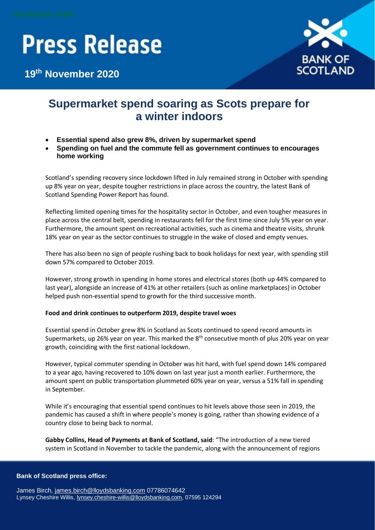# **Press Release**

**19 th November 2020**



### **Supermarket spend soaring as Scots prepare for a winter indoors**

- **Essential spend also grew 8%, driven by supermarket spend**
- **Spending on fuel and the commute fell as government continues to encourages home working**

Scotland's spending recovery since lockdown lifted in July remained strong in October with spending up 8% year on year, despite tougher restrictions in place across the country, the latest Bank of Scotland Spending Power Report has found.

Reflecting limited opening times for the hospitality sector in October, and even tougher measures in place across the central belt, spending in restaurants fell for the first time since July 5% year on year. Furthermore, the amount spent on recreational activities, such as cinema and theatre visits, shrunk 18% year on year as the sector continues to struggle in the wake of closed and empty venues.

There has also been no sign of people rushing back to book holidays for next year, with spending still down 57% compared to October 2019.

However, strong growth in spending in home stores and electrical stores (both up 44% compared to last year), alongside an increase of 41% at other retailers (such as online marketplaces) in October helped push non-essential spend to growth for the third successive month.

### **Food and drink continues to outperform 2019, despite travel woes**

Essential spend in October grew 8% in Scotland as Scots continued to spend record amounts in Supermarkets, up 26% year on year. This marked the  $8<sup>th</sup>$  consecutive month of plus 20% year on year growth, coinciding with the first national lockdown.

However, typical commuter spending in October was hit hard, with fuel spend down 14% compared to a year ago, having recovered to 10% down on last year just a month earlier. Furthermore, the amount spent on public transportation plummeted 60% year on year, versus a 51% fall in spending in September.

While it's encouraging that essential spend continues to hit levels above those seen in 2019, the pandemic has caused a shift in where people's money is going, rather than showing evidence of a country close to being back to normal.

**Gabby Collins, Head of Payments at Bank of Scotland, said**: "The introduction of a new tiered system in Scotland in November to tackle the pandemic, along with the announcement of regions

### **Bank of Scotland press office:**

James Birch, [james.birch@lloydsbanking.com](mailto:james.birch@lloydsbanking.com) 07786074642 Lynsey Cheshire Willis[, lynsey.cheshire-willis@lloydsbanking.com,](mailto:lynsey.cheshire-willis@lloydsbanking.com) 07595 124294